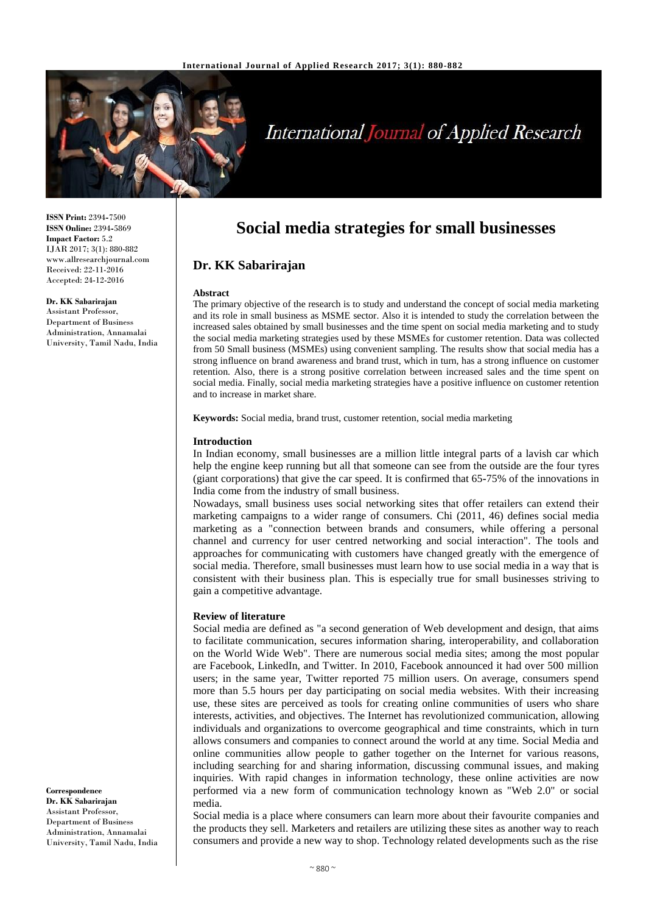

# **International Journal of Applied Research**

**ISSN Print:** 2394**-**7500 **ISSN Online:** 2394**-**5869 **Impact Factor:** 5.2 IJAR 2017; 3(1): 880-882 www.allresearchjournal.com Received: 22-11-2016 Accepted: 24-12-2016

#### **Dr. KK Sabarirajan**

Assistant Professor, Department of Business Administration, Annamalai University, Tamil Nadu, India

**Correspondence Dr. KK Sabarirajan** Assistant Professor, Department of Business Administration, Annamalai University, Tamil Nadu, India

# **Social media strategies for small businesses**

# **Dr. KK Sabarirajan**

#### **Abstract**

The primary objective of the research is to study and understand the concept of social media marketing and its role in small business as MSME sector. Also it is intended to study the correlation between the increased sales obtained by small businesses and the time spent on social media marketing and to study the social media marketing strategies used by these MSMEs for customer retention. Data was collected from 50 Small business (MSMEs) using convenient sampling. The results show that social media has a strong influence on brand awareness and brand trust, which in turn, has a strong influence on customer retention. Also, there is a strong positive correlation between increased sales and the time spent on social media. Finally, social media marketing strategies have a positive influence on customer retention and to increase in market share.

**Keywords:** Social media, brand trust, customer retention, social media marketing

#### **Introduction**

In Indian economy, small businesses are a million little integral parts of a lavish car which help the engine keep running but all that someone can see from the outside are the four tyres (giant corporations) that give the car speed. It is confirmed that 65**-**75% of the innovations in India come from the industry of small business.

Nowadays, small business uses social networking sites that offer retailers can extend their marketing campaigns to a wider range of consumers. Chi (2011, 46) defines social media marketing as a "connection between brands and consumers, while offering a personal channel and currency for user centred networking and social interaction". The tools and approaches for communicating with customers have changed greatly with the emergence of social media. Therefore, small businesses must learn how to use social media in a way that is consistent with their business plan. This is especially true for small businesses striving to gain a competitive advantage.

#### **Review of literature**

Social media are defined as "a second generation of Web development and design, that aims to facilitate communication, secures information sharing, interoperability, and collaboration on the World Wide Web". There are numerous social media sites; among the most popular are Facebook, LinkedIn, and Twitter. In 2010, Facebook announced it had over 500 million users; in the same year, Twitter reported 75 million users. On average, consumers spend more than 5.5 hours per day participating on social media websites. With their increasing use, these sites are perceived as tools for creating online communities of users who share interests, activities, and objectives. The Internet has revolutionized communication, allowing individuals and organizations to overcome geographical and time constraints, which in turn allows consumers and companies to connect around the world at any time. Social Media and online communities allow people to gather together on the Internet for various reasons, including searching for and sharing information, discussing communal issues, and making inquiries. With rapid changes in information technology, these online activities are now performed via a new form of communication technology known as "Web 2.0" or social media.

Social media is a place where consumers can learn more about their favourite companies and the products they sell. Marketers and retailers are utilizing these sites as another way to reach consumers and provide a new way to shop. Technology related developments such as the rise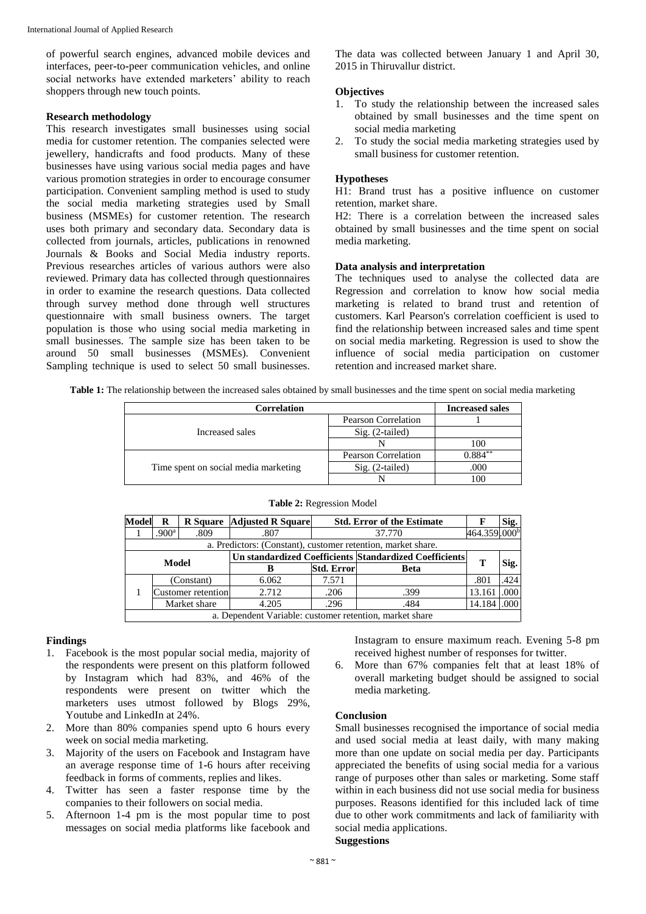of powerful search engines, advanced mobile devices and interfaces, peer**-**to**-**peer communication vehicles, and online social networks have extended marketers' ability to reach shoppers through new touch points.

#### **Research methodology**

This research investigates small businesses using social media for customer retention. The companies selected were jewellery, handicrafts and food products. Many of these businesses have using various social media pages and have various promotion strategies in order to encourage consumer participation. Convenient sampling method is used to study the social media marketing strategies used by Small business (MSMEs) for customer retention. The research uses both primary and secondary data. Secondary data is collected from journals, articles, publications in renowned Journals & Books and Social Media industry reports. Previous researches articles of various authors were also reviewed. Primary data has collected through questionnaires in order to examine the research questions. Data collected through survey method done through well structures questionnaire with small business owners. The target population is those who using social media marketing in small businesses. The sample size has been taken to be around 50 small businesses (MSMEs). Convenient Sampling technique is used to select 50 small businesses.

The data was collected between January 1 and April 30, 2015 in Thiruvallur district.

# **Objectives**

- 1. To study the relationship between the increased sales obtained by small businesses and the time spent on social media marketing
- 2. To study the social media marketing strategies used by small business for customer retention.

#### **Hypotheses**

H1: Brand trust has a positive influence on customer retention, market share.

H2: There is a correlation between the increased sales obtained by small businesses and the time spent on social media marketing.

# **Data analysis and interpretation**

The techniques used to analyse the collected data are Regression and correlation to know how social media marketing is related to brand trust and retention of customers. Karl Pearson's correlation coefficient is used to find the relationship between increased sales and time spent on social media marketing. Regression is used to show the influence of social media participation on customer retention and increased market share.

**Table 1:** The relationship between the increased sales obtained by small businesses and the time spent on social media marketing

| <b>Correlation</b>                   | <b>Increased sales</b>     |            |
|--------------------------------------|----------------------------|------------|
| Increased sales                      | <b>Pearson Correlation</b> |            |
|                                      | $Sig. (2-tailed)$          |            |
|                                      |                            | 100        |
| Time spent on social media marketing | Pearson Correlation        | $0.884***$ |
|                                      | $Sig. (2-tailed)$          | .000       |
|                                      |                            |            |

| <b>Model</b>                                                 | R                                                       |                    | <b>R</b> Square Adjusted R Square |                   | <b>Std. Error of the Estimate</b>                      |                          | Sig. |  |  |
|--------------------------------------------------------------|---------------------------------------------------------|--------------------|-----------------------------------|-------------------|--------------------------------------------------------|--------------------------|------|--|--|
|                                                              | .900 <sup>a</sup>                                       | .809               | .807                              | 37.770            |                                                        | 464.359.000 <sup>b</sup> |      |  |  |
| a. Predictors: (Constant), customer retention, market share. |                                                         |                    |                                   |                   |                                                        |                          |      |  |  |
| <b>Model</b>                                                 |                                                         |                    |                                   |                   | Un standardized Coefficients Standardized Coefficients | т                        |      |  |  |
|                                                              |                                                         |                    | в                                 | <b>Std. Error</b> | <b>Beta</b>                                            |                          | Sig. |  |  |
|                                                              |                                                         | (Constant)         | 6.062                             | 7.571             |                                                        | .801                     | .424 |  |  |
|                                                              |                                                         | Customer retention | 2.712                             | .206              | .399                                                   | 13.161                   | .000 |  |  |
|                                                              |                                                         | Market share       | 4.205                             | .296              | .484                                                   | 14.184                   | .000 |  |  |
|                                                              | a. Dependent Variable: customer retention, market share |                    |                                   |                   |                                                        |                          |      |  |  |

#### **Table 2:** Regression Model

# **Findings**

- 1. Facebook is the most popular social media, majority of the respondents were present on this platform followed by Instagram which had 83%, and 46% of the respondents were present on twitter which the marketers uses utmost followed by Blogs 29%, Youtube and LinkedIn at 24%.
- 2. More than 80% companies spend upto 6 hours every week on social media marketing.
- 3. Majority of the users on Facebook and Instagram have an average response time of 1**-**6 hours after receiving feedback in forms of comments, replies and likes.
- 4. Twitter has seen a faster response time by the companies to their followers on social media.
- 5. Afternoon 1**-**4 pm is the most popular time to post messages on social media platforms like facebook and

Instagram to ensure maximum reach. Evening 5**-**8 pm received highest number of responses for twitter.

6. More than 67% companies felt that at least 18% of overall marketing budget should be assigned to social media marketing.

# **Conclusion**

Small businesses recognised the importance of social media and used social media at least daily, with many making more than one update on social media per day. Participants appreciated the benefits of using social media for a various range of purposes other than sales or marketing. Some staff within in each business did not use social media for business purposes. Reasons identified for this included lack of time due to other work commitments and lack of familiarity with social media applications.